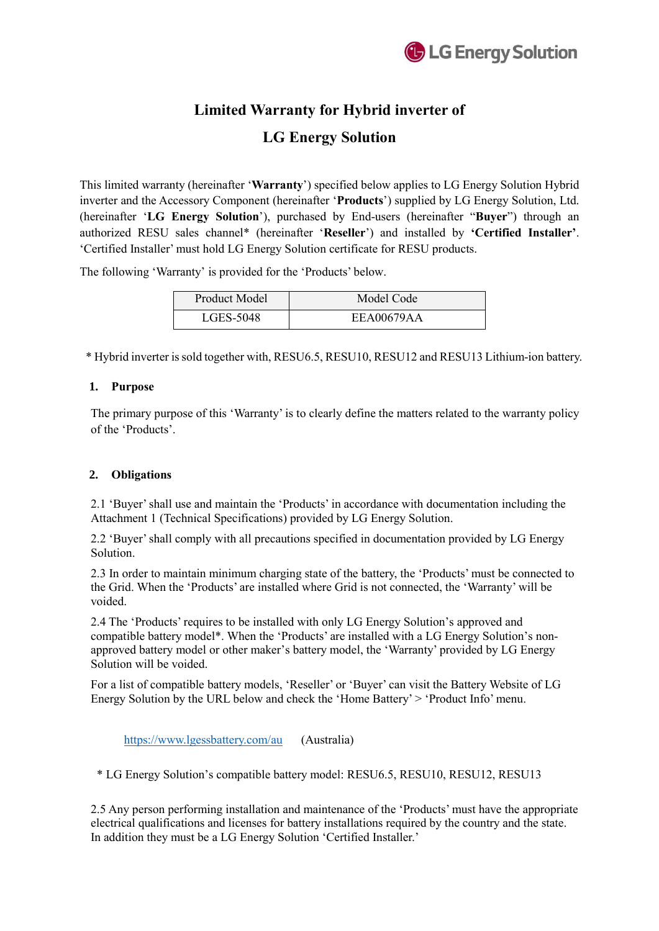

# **Limited Warranty for Hybrid inverter of LG Energy Solution**

This limited warranty (hereinafter '**Warranty**') specified below applies to LG Energy Solution Hybrid inverter and the Accessory Component (hereinafter '**Products**') supplied by LG Energy Solution, Ltd. (hereinafter '**LG Energy Solution**'), purchased by End-users (hereinafter "**Buyer**") through an authorized RESU sales channel\* (hereinafter '**Reseller**') and installed by **'Certified Installer'**. 'Certified Installer' must hold LG Energy Solution certificate for RESU products.

The following 'Warranty' is provided for the 'Products' below.

| Product Model | Model Code        |
|---------------|-------------------|
| LGES-5048     | <b>EEA00679AA</b> |

\* Hybrid inverter is sold together with, RESU6.5, RESU10, RESU12 and RESU13 Lithium-ion battery.

#### **1. Purpose**

The primary purpose of this 'Warranty' is to clearly define the matters related to the warranty policy of the 'Products'.

#### **2. Obligations**

2.1 'Buyer' shall use and maintain the 'Products' in accordance with documentation including the Attachment 1 (Technical Specifications) provided by LG Energy Solution.

2.2 'Buyer' shall comply with all precautions specified in documentation provided by LG Energy Solution.

2.3 In order to maintain minimum charging state of the battery, the 'Products' must be connected to the Grid. When the 'Products' are installed where Grid is not connected, the 'Warranty' will be voided.

2.4 The 'Products' requires to be installed with only LG Energy Solution's approved and compatible battery model\*. When the 'Products' are installed with a LG Energy Solution's nonapproved battery model or other maker's battery model, the 'Warranty' provided by LG Energy Solution will be voided.

For a list of compatible battery models, 'Reseller' or 'Buyer' can visit the Battery Website of LG Energy Solution by the URL below and check the 'Home Battery' > 'Product Info' menu.

[https://www.lgessbattery.com/a](https://www.lgessbattery.com/)u (Australia)

\* LG Energy Solution's compatible battery model: RESU6.5, RESU10, RESU12, RESU13

2.5 Any person performing installation and maintenance of the 'Products' must have the appropriate electrical qualifications and licenses for battery installations required by the country and the state. In addition they must be a LG Energy Solution 'Certified Installer.'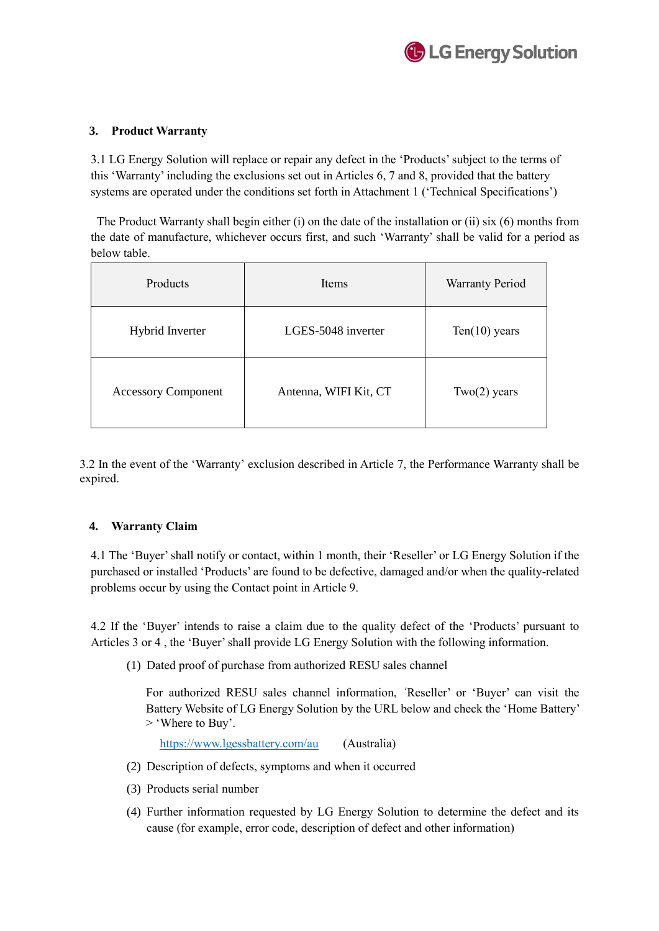

#### **3. Product Warranty**

3.1 LG Energy Solution will replace or repair any defect in the 'Products' subject to the terms of this 'Warranty' including the exclusions set out in Articles 6, 7 and 8, provided that the battery systems are operated under the conditions set forth in Attachment 1 ('Technical Specifications')

The Product Warranty shall begin either (i) on the date of the installation or (ii) six (6) months from the date of manufacture, whichever occurs first, and such 'Warranty' shall be valid for a period as below table.

| Products                   | Items                 | <b>Warranty Period</b> |
|----------------------------|-----------------------|------------------------|
| Hybrid Inverter            | LGES-5048 inverter    | Ten $(10)$ years       |
| <b>Accessory Component</b> | Antenna, WIFI Kit, CT | Two(2) years           |

3.2 In the event of the 'Warranty' exclusion described in Article 7, the Performance Warranty shall be expired.

#### **4. Warranty Claim**

4.1 The 'Buyer' shall notify or contact, within 1 month, their 'Reseller' or LG Energy Solution if the purchased or installed 'Products' are found to be defective, damaged and/or when the quality-related problems occur by using the Contact point in Article 9.

4.2 If the 'Buyer' intends to raise a claim due to the quality defect of the 'Products' pursuant to Articles 3 or 4 , the 'Buyer' shall provide LG Energy Solution with the following information.

(1) Dated proof of purchase from authorized RESU sales channel

For authorized RESU sales channel information, 'Reseller' or 'Buyer' can visit the Battery Website of LG Energy Solution by the URL below and check the 'Home Battery' > 'Where to Buy'.

[https://www.lgessbattery.com/a](https://www.lgessbattery.com/)u (Australia)

- (2) Description of defects, symptoms and when it occurred
- (3) Products serial number
- (4) Further information requested by LG Energy Solution to determine the defect and its cause (for example, error code, description of defect and other information)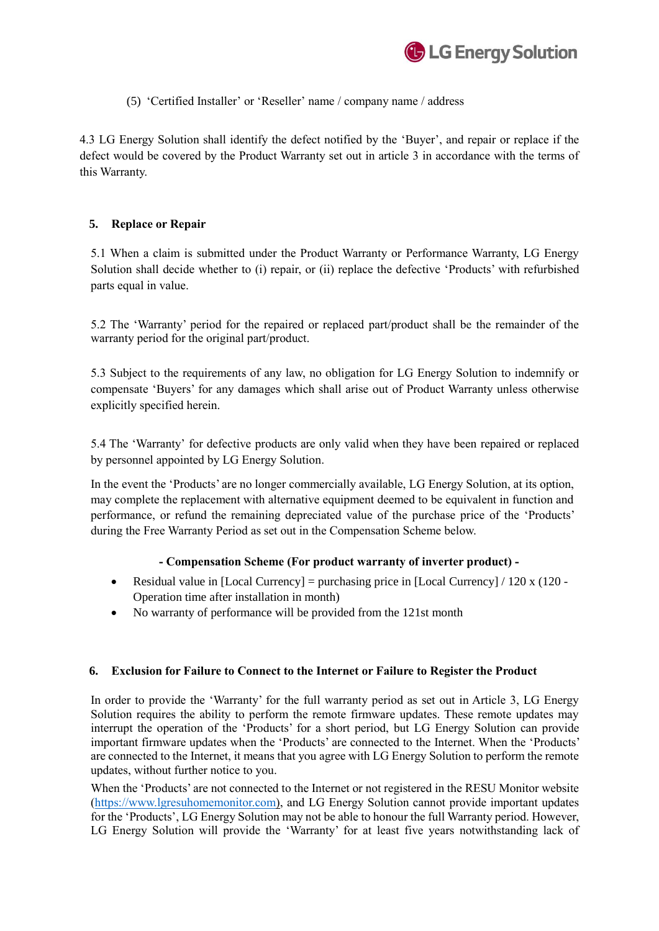

(5) 'Certified Installer' or 'Reseller' name / company name / address

4.3 LG Energy Solution shall identify the defect notified by the 'Buyer', and repair or replace if the defect would be covered by the Product Warranty set out in article 3 in accordance with the terms of this Warranty.

#### **5. Replace or Repair**

5.1 When a claim is submitted under the Product Warranty or Performance Warranty, LG Energy Solution shall decide whether to (i) repair, or (ii) replace the defective 'Products' with refurbished parts equal in value.

5.2 The 'Warranty' period for the repaired or replaced part/product shall be the remainder of the warranty period for the original part/product.

5.3 Subject to the requirements of any law, no obligation for LG Energy Solution to indemnify or compensate 'Buyers' for any damages which shall arise out of Product Warranty unless otherwise explicitly specified herein.

5.4 The 'Warranty' for defective products are only valid when they have been repaired or replaced by personnel appointed by LG Energy Solution.

In the event the 'Products' are no longer commercially available, LG Energy Solution, at its option, may complete the replacement with alternative equipment deemed to be equivalent in function and performance, or refund the remaining depreciated value of the purchase price of the 'Products' during the Free Warranty Period as set out in the Compensation Scheme below.

#### **- Compensation Scheme (For product warranty of inverter product) -**

- Residual value in [Local Currency] = purchasing price in [Local Currency]  $/ 120 \times (120 120)$ Operation time after installation in month)
- No warranty of performance will be provided from the 121st month

#### **6. Exclusion for Failure to Connect to the Internet or Failure to Register the Product**

In order to provide the 'Warranty' for the full warranty period as set out in Article 3, LG Energy Solution requires the ability to perform the remote firmware updates. These remote updates may interrupt the operation of the 'Products' for a short period, but LG Energy Solution can provide important firmware updates when the 'Products' are connected to the Internet. When the 'Products' are connected to the Internet, it means that you agree with LG Energy Solution to perform the remote updates, without further notice to you.

When the 'Products' are not connected to the Internet or not registered in the RESU Monitor website [\(https://www.lgresuhomemonitor.com\)](https://www.lgresuhomemonitor.com/), and LG Energy Solution cannot provide important updates for the 'Products', LG Energy Solution may not be able to honour the full Warranty period. However, LG Energy Solution will provide the 'Warranty' for at least five years notwithstanding lack of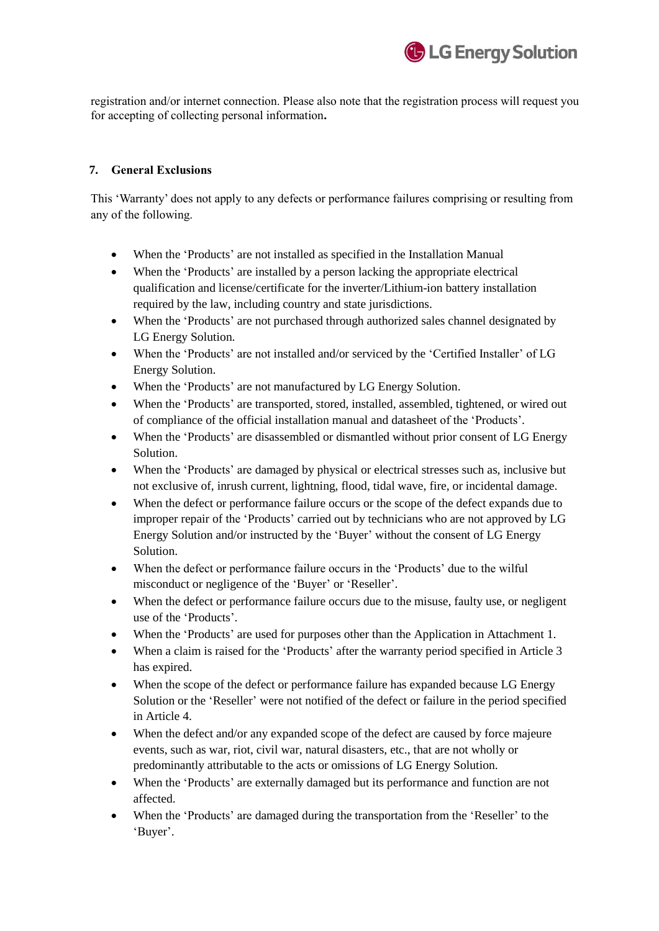

registration and/or internet connection. Please also note that the registration process will request you for accepting of collecting personal information**.**

#### **7. General Exclusions**

This 'Warranty' does not apply to any defects or performance failures comprising or resulting from any of the following.

- When the 'Products' are not installed as specified in the Installation Manual
- When the 'Products' are installed by a person lacking the appropriate electrical qualification and license/certificate for the inverter/Lithium-ion battery installation required by the law, including country and state jurisdictions.
- When the 'Products' are not purchased through authorized sales channel designated by LG Energy Solution.
- When the 'Products' are not installed and/or serviced by the 'Certified Installer' of LG Energy Solution.
- When the 'Products' are not manufactured by LG Energy Solution.
- When the 'Products' are transported, stored, installed, assembled, tightened, or wired out of compliance of the official installation manual and datasheet of the 'Products'.
- When the 'Products' are disassembled or dismantled without prior consent of LG Energy Solution.
- When the 'Products' are damaged by physical or electrical stresses such as, inclusive but not exclusive of, inrush current, lightning, flood, tidal wave, fire, or incidental damage.
- When the defect or performance failure occurs or the scope of the defect expands due to improper repair of the 'Products' carried out by technicians who are not approved by LG Energy Solution and/or instructed by the 'Buyer' without the consent of LG Energy Solution.
- When the defect or performance failure occurs in the 'Products' due to the wilful misconduct or negligence of the 'Buyer' or 'Reseller'.
- When the defect or performance failure occurs due to the misuse, faulty use, or negligent use of the 'Products'.
- When the 'Products' are used for purposes other than the Application in Attachment 1.
- When a claim is raised for the 'Products' after the warranty period specified in Article 3 has expired.
- When the scope of the defect or performance failure has expanded because LG Energy Solution or the 'Reseller' were not notified of the defect or failure in the period specified in Article 4.
- When the defect and/or any expanded scope of the defect are caused by force majeure events, such as war, riot, civil war, natural disasters, etc., that are not wholly or predominantly attributable to the acts or omissions of LG Energy Solution.
- When the 'Products' are externally damaged but its performance and function are not affected.
- When the 'Products' are damaged during the transportation from the 'Reseller' to the 'Buyer'.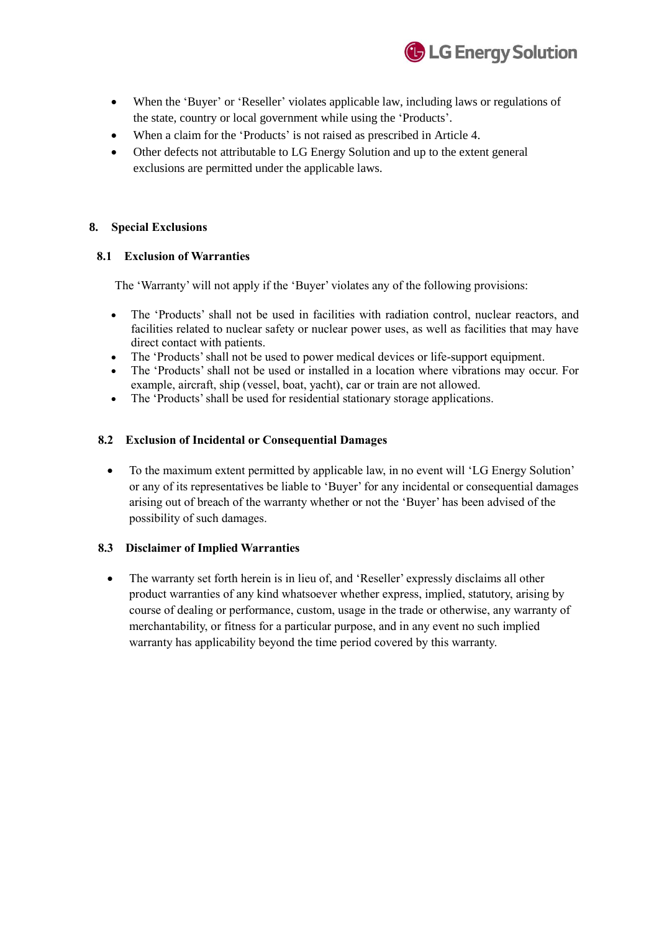

- When the 'Buyer' or 'Reseller' violates applicable law, including laws or regulations of the state, country or local government while using the 'Products'.
- When a claim for the 'Products' is not raised as prescribed in Article 4.
- Other defects not attributable to LG Energy Solution and up to the extent general exclusions are permitted under the applicable laws.

#### **8. Special Exclusions**

#### **8.1 Exclusion of Warranties**

The 'Warranty' will not apply if the 'Buyer' violates any of the following provisions:

- The 'Products' shall not be used in facilities with radiation control, nuclear reactors, and facilities related to nuclear safety or nuclear power uses, as well as facilities that may have direct contact with patients.
- The 'Products' shall not be used to power medical devices or life-support equipment.
- The 'Products' shall not be used or installed in a location where vibrations may occur. For example, aircraft, ship (vessel, boat, yacht), car or train are not allowed.
- The 'Products' shall be used for residential stationary storage applications.

#### **8.2 Exclusion of Incidental or Consequential Damages**

 To the maximum extent permitted by applicable law, in no event will 'LG Energy Solution' or any of its representatives be liable to 'Buyer' for any incidental or consequential damages arising out of breach of the warranty whether or not the 'Buyer' has been advised of the possibility of such damages.

#### **8.3 Disclaimer of Implied Warranties**

• The warranty set forth herein is in lieu of, and 'Reseller' expressly disclaims all other product warranties of any kind whatsoever whether express, implied, statutory, arising by course of dealing or performance, custom, usage in the trade or otherwise, any warranty of merchantability, or fitness for a particular purpose, and in any event no such implied warranty has applicability beyond the time period covered by this warranty.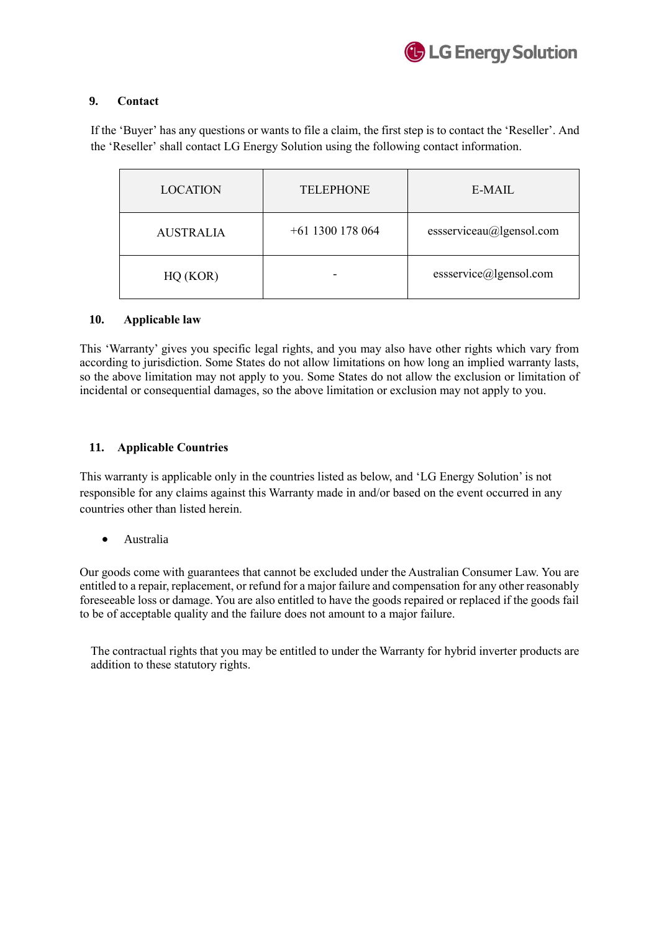

#### **9. Contact**

If the 'Buyer' has any questions or wants to file a claim, the first step is to contact the 'Reseller'. And the 'Reseller' shall contact LG Energy Solution using the following contact information.

| <b>LOCATION</b>  | <b>TELEPHONE</b>   | E-MAIL                   |
|------------------|--------------------|--------------------------|
| <b>AUSTRALIA</b> | $+61$ 1300 178 064 | essserviceau@lgensol.com |
| HQ(KOR)          |                    | essservice@lgensol.com   |

#### **10. Applicable law**

This 'Warranty' gives you specific legal rights, and you may also have other rights which vary from according to jurisdiction. Some States do not allow limitations on how long an implied warranty lasts, so the above limitation may not apply to you. Some States do not allow the exclusion or limitation of incidental or consequential damages, so the above limitation or exclusion may not apply to you.

#### **11. Applicable Countries**

This warranty is applicable only in the countries listed as below, and 'LG Energy Solution' is not responsible for any claims against this Warranty made in and/or based on the event occurred in any countries other than listed herein.

Australia

Our goods come with guarantees that cannot be excluded under the Australian Consumer Law. You are entitled to a repair, replacement, or refund for a major failure and compensation for any other reasonably foreseeable loss or damage. You are also entitled to have the goods repaired or replaced if the goods fail to be of acceptable quality and the failure does not amount to a major failure.

The contractual rights that you may be entitled to under the Warranty for hybrid inverter products are addition to these statutory rights.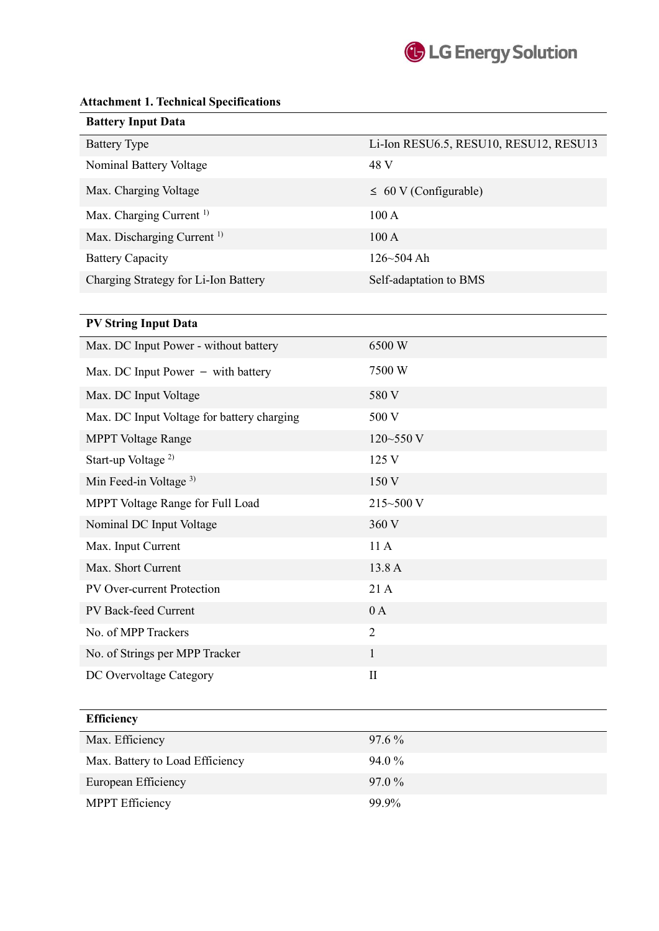

| <b>Battery Input Data</b>              |                                        |
|----------------------------------------|----------------------------------------|
| <b>Battery Type</b>                    | Li-Ion RESU6.5, RESU10, RESU12, RESU13 |
| Nominal Battery Voltage                | 48 V                                   |
| Max. Charging Voltage                  | $\leq 60$ V (Configurable)             |
| Max. Charging Current <sup>1)</sup>    | 100A                                   |
| Max. Discharging Current <sup>1)</sup> | 100A                                   |
| <b>Battery Capacity</b>                | $126 - 504$ Ah                         |
| Charging Strategy for Li-Ion Battery   | Self-adaptation to BMS                 |

### **Attachment 1. Technical Specifications**

## **PV String Input Data**

| 6500 W         |
|----------------|
| 7500 W         |
| 580 V          |
| 500 V          |
| $120 - 550$ V  |
| 125 V          |
| 150 V          |
| 215~500 V      |
| 360 V          |
| 11A            |
| 13.8 A         |
| 21 A           |
| 0A             |
| $\overline{2}$ |
| $\mathbf{1}$   |
| $\mathbf{I}$   |
|                |

| <b>Efficiency</b>               |          |
|---------------------------------|----------|
| Max. Efficiency                 | $97.6\%$ |
| Max. Battery to Load Efficiency | $94.0\%$ |
| European Efficiency             | $97.0\%$ |
| <b>MPPT</b> Efficiency          | 99.9%    |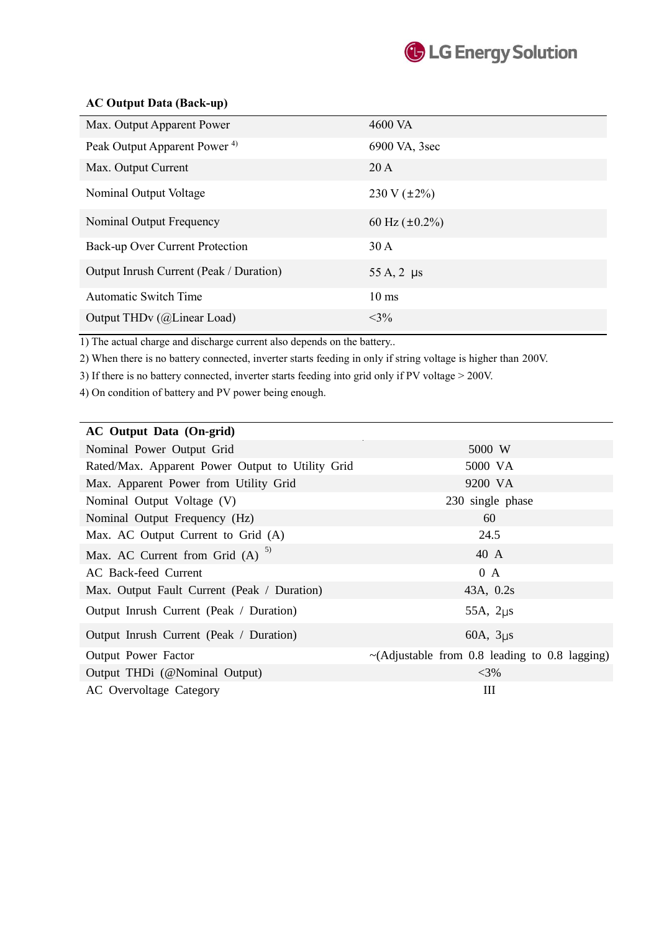

#### **AC Output Data (Back-up)**

| Max. Output Apparent Power               | 4600 VA             |
|------------------------------------------|---------------------|
| Peak Output Apparent Power <sup>4)</sup> | 6900 VA, 3sec       |
| Max. Output Current                      | 20A                 |
| Nominal Output Voltage                   | $230 V (\pm 2\%)$   |
| Nominal Output Frequency                 | 60 Hz $(\pm 0.2\%)$ |
| Back-up Over Current Protection          | 30 A                |
| Output Inrush Current (Peak / Duration)  | 55 A, 2 $\mu s$     |
| <b>Automatic Switch Time</b>             | $10 \text{ ms}$     |
| Output THDv (@Linear Load)               | $<3\%$              |
|                                          |                     |

1) The actual charge and discharge current also depends on the battery..

2) When there is no battery connected, inverter starts feeding in only if string voltage is higher than 200V.

3) If there is no battery connected, inverter starts feeding into grid only if PV voltage > 200V.

4) On condition of battery and PV power being enough.

| <b>AC</b> Output Data (On-grid)                  |                                                     |
|--------------------------------------------------|-----------------------------------------------------|
| Nominal Power Output Grid                        | 5000 W                                              |
| Rated/Max. Apparent Power Output to Utility Grid | 5000 VA                                             |
| Max. Apparent Power from Utility Grid            | 9200 VA                                             |
| Nominal Output Voltage (V)                       | 230 single phase                                    |
| Nominal Output Frequency (Hz)                    | 60                                                  |
| Max. AC Output Current to Grid (A)               | 24.5                                                |
| Max. AC Current from Grid $(A)$ <sup>5)</sup>    | 40 A                                                |
| AC Back-feed Current                             | 0 A                                                 |
| Max. Output Fault Current (Peak / Duration)      | 43A, 0.2s                                           |
| Output Inrush Current (Peak / Duration)          | 55A, $2\mu s$                                       |
| Output Inrush Current (Peak / Duration)          | 60A, $3\mu s$                                       |
| Output Power Factor                              | $\sim$ (Adjustable from 0.8 leading to 0.8 lagging) |
| Output THDi (@Nominal Output)                    | $<3\%$                                              |
| AC Overvoltage Category                          | $\mathop{\rm III}$                                  |